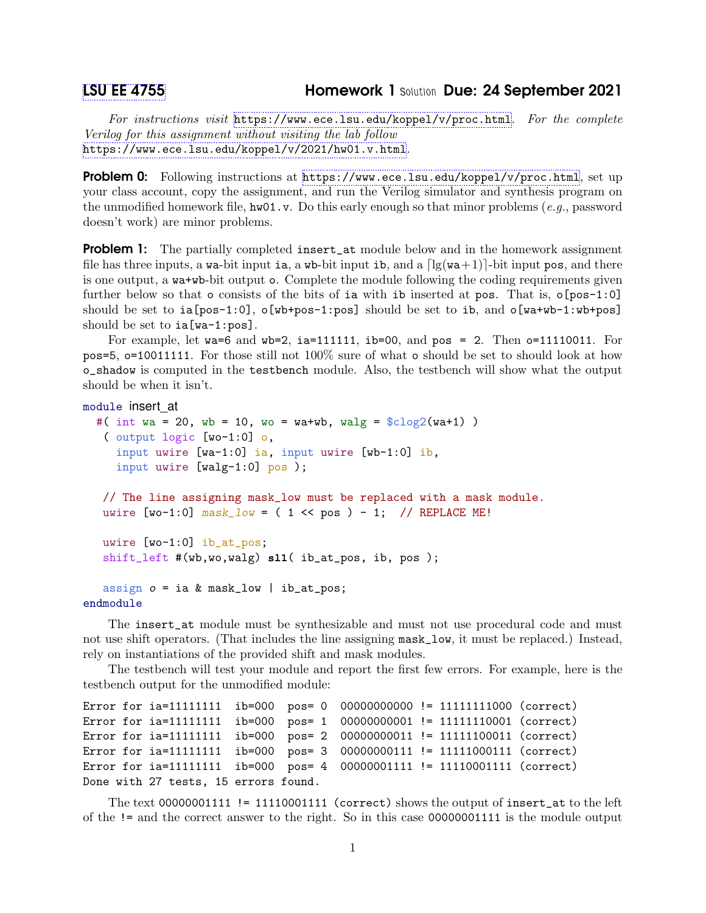## [LSU EE 4755](https://www.ece.lsu.edu/koppel/v/) Homework 1 Solution Due: 24 September 2021

For instructions visit <https://www.ece.lsu.edu/koppel/v/proc.html>. For the complete Verilog for this assignment without visiting the lab follow <https://www.ece.lsu.edu/koppel/v/2021/hw01.v.html>.

Problem 0: Following instructions at <https://www.ece.lsu.edu/koppel/v/proc.html>, set up your class account, copy the assignment, and run the Verilog simulator and synthesis program on the unmodified homework file,  $hwd1.v$ . Do this early enough so that minor problems (e.g., password doesn't work) are minor problems.

**Problem 1:** The partially completed insert\_at module below and in the homework assignment file has three inputs, a wa-bit input ia, a wb-bit input ib, and a  $\lceil \lg(wa+1) \rceil$ -bit input pos, and there is one output, a wa+wb-bit output o. Complete the module following the coding requirements given further below so that  $\circ$  consists of the bits of ia with ib inserted at pos. That is,  $\circ$ [pos-1:0] should be set to  $ia[pos-1:0]$ ,  $o[wb+pos-1:pos]$  should be set to  $ib$ , and  $o[wa+wb-1:wb+pos]$ should be set to ia[wa-1:pos].

For example, let wa=6 and wb=2, ia=111111, ib=00, and pos = 2. Then  $o=11110011$ . For pos=5, o=10011111. For those still not 100% sure of what o should be set to should look at how o\_shadow is computed in the testbench module. Also, the testbench will show what the output should be when it isn't.

```
module insert_at
  #( int wa = 20, wb = 10, wo = wa+wb, walg = \frac{\cosh(2\pi x)}{\cosh(2\pi x)})
   ( output logic [wo-1:0] o,
     input uwire [wa-1:0] ia, input uwire [wb-1:0] ib,
     input uwire [walg-1:0] pos );
   // The line assigning mask_low must be replaced with a mask module.
   uwire [wo-1:0] mask\_low = (1 \le pos) - 1; // REPLACE ME!
   uwire [wo-1:0] ib_at_pos;
   shift_left #(wb,wo,walg) sl1( ib_at_pos, ib, pos );
   assign o = ia \& mask_low \mid ib_at_pos;endmodule
```
The insert\_at module must be synthesizable and must not use procedural code and must not use shift operators. (That includes the line assigning mask\_low, it must be replaced.) Instead, rely on instantiations of the provided shift and mask modules.

The testbench will test your module and report the first few errors. For example, here is the testbench output for the unmodified module:

```
Error for ia=11111111 ib=000 pos= 0 00000000000 != 11111111000 (correct)
Error for ia=11111111 ib=000 pos= 1 00000000001 != 11111110001 (correct)
Error for ia=11111111 ib=000 pos= 2 00000000011 != 11111100011 (correct)
Error for ia=11111111 ib=000 pos= 3 00000000111 != 11111000111 (correct)
Error for ia=11111111 ib=000 pos= 4 00000001111 != 11110001111 (correct)
Done with 27 tests, 15 errors found.
```
The text  $00000001111$  != 11110001111 (correct) shows the output of insert\_at to the left of the != and the correct answer to the right. So in this case 00000001111 is the module output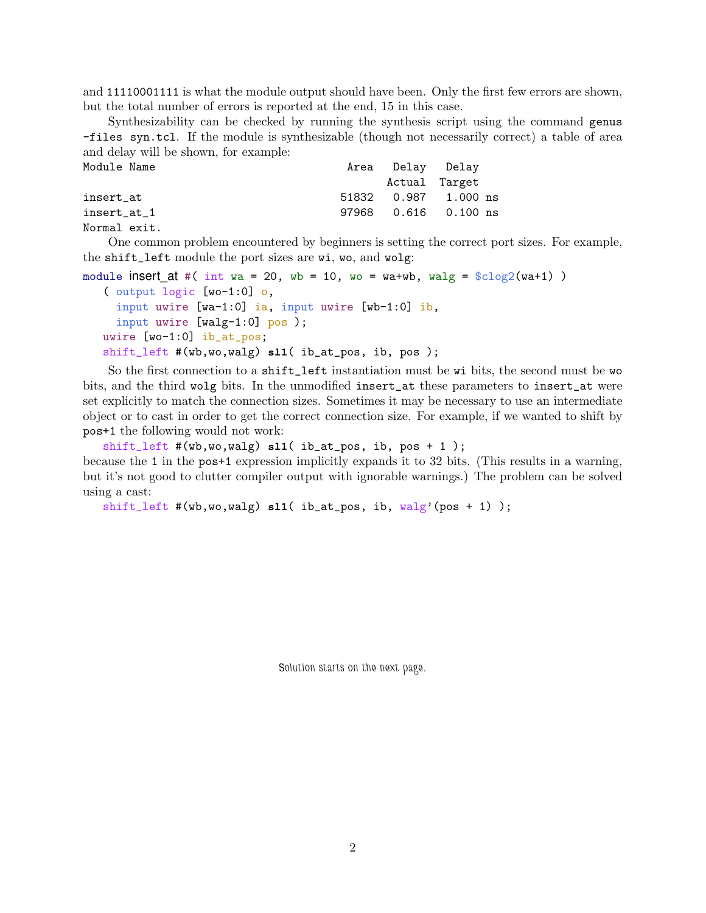and 11110001111 is what the module output should have been. Only the first few errors are shown, but the total number of errors is reported at the end, 15 in this case.

Synthesizability can be checked by running the synthesis script using the command genus -files syn.tcl. If the module is synthesizable (though not necessarily correct) a table of area and delay will be shown, for example:

| Module Name  | Area Delay Delay |                        |
|--------------|------------------|------------------------|
|              | Actual Target    |                        |
| insert at    |                  | 51832 0.987 1.000 ns   |
| insert at 1  |                  | 97968  0.616  0.100 ns |
| Normal exit. |                  |                        |

One common problem encountered by beginners is setting the correct port sizes. For example, the shift\_left module the port sizes are wi, wo, and wolg:

```
module insert at #( int wa = 20, wb = 10, wo = wa+wb, walg = $clog2(wat1))
   ( output logic [wo-1:0] o,
     input uwire [wa-1:0] ia, input uwire [wb-1:0] ib,
     input uwire [walg-1:0] pos );
   uwire [wo-1:0] ib_at_pos;
   shift_left #(wb,wo,walg) sl1( ib_at_pos, ib, pos );
```
So the first connection to a shift\_left instantiation must be wi bits, the second must be wo bits, and the third wolg bits. In the unmodified insert\_at these parameters to insert\_at were set explicitly to match the connection sizes. Sometimes it may be necessary to use an intermediate object or to cast in order to get the correct connection size. For example, if we wanted to shift by pos+1 the following would not work:

shift\_left #(wb,wo,walg) **sl1**( ib\_at\_pos, ib, pos + 1 ); because the 1 in the pos+1 expression implicitly expands it to 32 bits. (This results in a warning, but it's not good to clutter compiler output with ignorable warnings.) The problem can be solved using a cast:

```
shift_left #(wb,wo,walg) sl1( ib_at_pos, ib, walg'(pos + 1) );
```
Solution starts on the next page.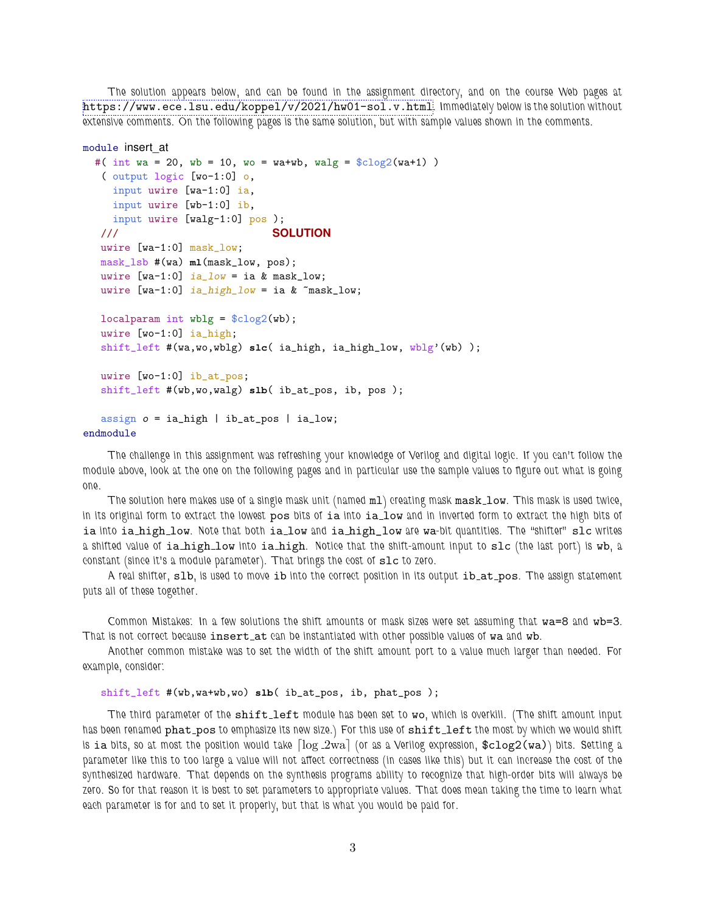The solution appears below, and can be found in the assignment directory, and on the course Web pages at <https://www.ece.lsu.edu/koppel/v/2021/hw01-sol.v.html>. Immediately below is the solution without extensive comments. On the following pages is the same solution, but with sample values shown in the comments.

```
module insert_at
  #( int wa = 20, wb = 10, wo = wa+wb, walg = \frac{\cosh(2\pi x)}{\cosh(2\pi x)})
   ( output logic [wo-1:0] o,
    input uwire [wa-1:0] ia,
    input uwire [wb-1:0] ib,
    input uwire [walg-1:0] pos );
   /// SOLUTION
   uwire [wa-1:0] mask_low;
   mask_lsb #(wa) ml(mask_low, pos);
   uwire [wa-1:0] ia_low = ia & mask_low;
   uwire [wa-1:0] ia_high_low = ia & \text{``mask\_low$};localparam int wblg = %clog2(wb);
   uwire [wo-1:0] ia_high;
   shift_left #(wa,wo,wblg) slc( ia_high, ia_high_low, wblg'(wb) );
   uwire [wo-1:0] ib_at_pos;
   shift_left #(wb,wo,walg) slb( ib_at_pos, ib, pos );
   assign o = ia_high \mid ib_at_pos \mid ia_low;endmodule
```
The challenge in this assignment was refreshing your knowledge of Verilog and digital logic. If you can't follow the module above, look at the one on the following pages and in particular use the sample values to figure out what is going one.

The solution here makes use of a single mask unit (named m1) creating mask mask\_low. This mask is used twice, in its original form to extract the lowest pos bits of ia into ia low and in inverted form to extract the high bits of ia into ia high low. Note that both ia low and ia high low are wa-bit quantities. The "shifter" slc writes a shifted value of ia high low into ia high. Notice that the shift-amount input to slc (the last port) is wb, a constant (since it's a module parameter). That brings the cost of slc to zero.

A real shifter, slb, is used to move ib into the correct position in its output ib\_at\_pos. The assign statement puts all of these together.

Common Mistakes: In a few solutions the shift amounts or mask sizes were set assuming that wa=8 and wb=3. That is not correct because insert\_at can be instantiated with other possible values of wa and wb.

Another common mistake was to set the width of the shift amount port to a value much larger than needed. For example, consider:

## shift\_left #(wb,wa+wb,wo) **slb**( ib\_at\_pos, ib, phat\_pos );

The third parameter of the shift\_left module has been set to wo, which is overkill. (The shift amount input has been renamed phat pos to emphasize its new size.) For this use of shift left the most by which we would shift is ia bits, so at most the position would take  $\log_2$ wa (or as a Verilog expression,  $\texttt{sclog2(wa)}$ ) bits. Setting a parameter like this to too large a value will not affect correctness (in cases like this) but it can increase the cost of the synthesized hardware. That depends on the synthesis programs ability to recognize that high-order bits will always be zero. So for that reason it is best to set parameters to appropriate values. That does mean taking the time to learn what each parameter is for and to set it properly, but that is what you would be paid for.